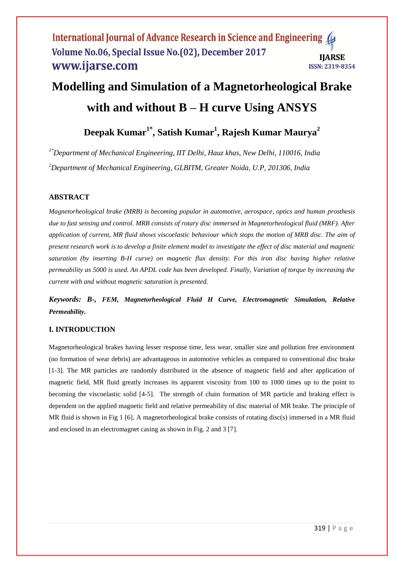## International Journal of Advance Research in Science and Engineering 4 Volume No.06, Special Issue No.(02), December 2017 **IIARSE** www.ijarse.com ISSN: 2319-8354

# **Modelling and Simulation of a Magnetorheological Brake with and without B – H curve Using ANSYS**

**Deepak Kumar1\* , Satish Kumar<sup>1</sup> , Rajesh Kumar Maurya<sup>2</sup>**

*1\*Department of Mechanical Engineering, IIT Delhi, Hauz khas, New Delhi, 110016, India <sup>2</sup>Department of Mechanical Engineering, GLBITM, Greater Noida, U.P, 201306, India*

# **ABSTRACT**

*Magnetorheological brake (MRB) is becoming popular in automotive, aerospace, optics and human prosthesis due to fast sensing and control. MRB consists of rotary disc immersed in Magnetorheological fluid (MRF). After application of current, MR fluid shows viscoelastic behaviour which stops the motion of MRB disc. The aim of present research work is to develop a finite element model to investigate the effect of disc material and magnetic saturation (by inserting B-H curve) on magnetic flux density. For this iron disc having higher relative permeability as 5000 is used. An APDL code has been developed. Finally, Variation of torque by increasing the current with and without magnetic saturation is presented.* 

*Keywords: B-, FEM, Magnetorheological Fluid H Curve, Electromagnetic Simulation, Relative Permeability.*

## **I. INTRODUCTION**

Magnetorheological brakes having lesser response time, less wear, smaller size and pollution free environment (no formation of wear debris) are advantageous in automotive vehicles as compared to conventional disc brake [1-3]. The MR particles are randomly distributed in the absence of magnetic field and after application of magnetic field, MR fluid greatly increases its apparent viscosity from 100 to 1000 times up to the point to becoming the viscoelastic solid [4-5]. The strength of chain formation of MR particle and braking effect is dependent on the applied magnetic field and relative permeability of disc material of MR brake. The principle of MR fluid is shown in Fig 1 [6]. A magnetorheological brake consists of rotating disc(s) immersed in a MR fluid and enclosed in an electromagnet casing as shown in Fig. 2 and 3 [7].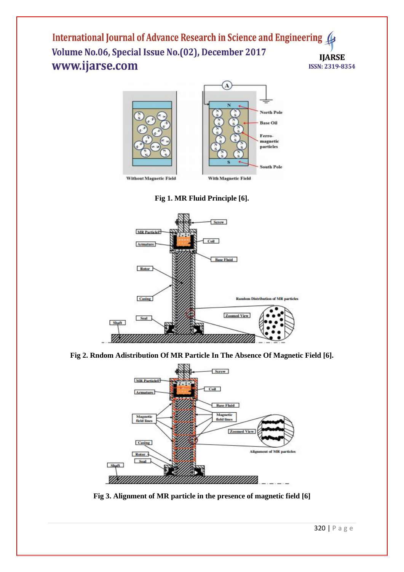## International Journal of Advance Research in Science and Engineering 4 Volume No.06, Special Issue No.(02), December 2017 **IJARSE** www.ijarse.com ISSN: 2319-8354



**Fig 1. MR Fluid Principle [6].**



**Fig 2. Rndom Adistribution Of MR Particle In The Absence Of Magnetic Field [6].**



**Fig 3. Alignment of MR particle in the presence of magnetic field [6]**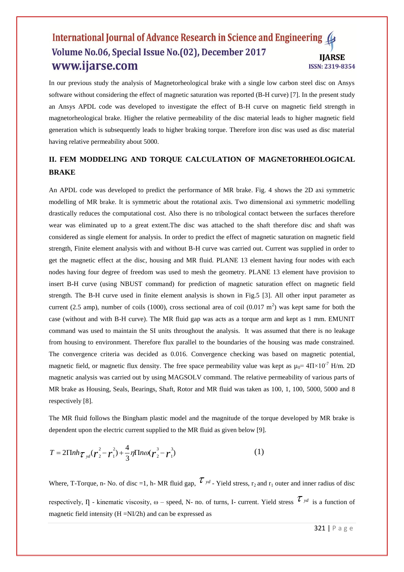## International Journal of Advance Research in Science and Engineering 4 Volume No.06, Special Issue No.(02), December 2017 **IIARSE** www.ijarse.com ISSN: 2319-8354

In our previous study the analysis of Magnetorheological brake with a single low carbon steel disc on Ansys software without considering the effect of magnetic saturation was reported (B-H curve) [7]. In the present study an Ansys APDL code was developed to investigate the effect of B-H curve on magnetic field strength in magnetorheological brake. Higher the relative permeability of the disc material leads to higher magnetic field generation which is subsequently leads to higher braking torque. Therefore iron disc was used as disc material having relative permeability about 5000.

# **II. FEM MODDELING AND TORQUE CALCULATION OF MAGNETORHEOLOGICAL BRAKE**

An APDL code was developed to predict the performance of MR brake. Fig. 4 shows the 2D axi symmetric modelling of MR brake. It is symmetric about the rotational axis. Two dimensional axi symmetric modelling drastically reduces the computational cost. Also there is no tribological contact between the surfaces therefore wear was eliminated up to a great extent.The disc was attached to the shaft therefore disc and shaft was considered as single element for analysis. In order to predict the effect of magnetic saturation on magnetic field strength, Finite element analysis with and without B-H curve was carried out. Current was supplied in order to get the magnetic effect at the disc, housing and MR fluid. PLANE 13 element having four nodes with each nodes having four degree of freedom was used to mesh the geometry. PLANE 13 element have provision to insert B-H curve (using NBUST command) for prediction of magnetic saturation effect on magnetic field strength. The B-H curve used in finite element analysis is shown in Fig.5 [3]. All other input parameter as current (2.5 amp), number of coils (1000), cross sectional area of coil (0.017  $m<sup>2</sup>$ ) was kept same for both the case (without and with B-H curve). The MR fluid gap was acts as a torque arm and kept as 1 mm. EMUNIT command was used to maintain the SI units throughout the analysis. It was assumed that there is no leakage from housing to environment. Therefore flux parallel to the boundaries of the housing was made constrained. The convergence criteria was decided as 0.016. Convergence checking was based on magnetic potential, magnetic field, or magnetic flux density. The free space permeability value was kept as  $\mu_0 = 4\Pi \times 10^{-7}$  H/m. 2D magnetic analysis was carried out by using MAGSOLV command. The relative permeability of various parts of MR brake as Housing, Seals, Bearings, Shaft, Rotor and MR fluid was taken as 100, 1, 100, 5000, 5000 and 8 respectively [8].

The MR fluid follows the Bingham plastic model and the magnitude of the torque developed by MR brake is dependent upon the electric current supplied to the MR fluid as given below [9].

$$
T = 2 \Pi n h_{\tau_{yd}} (r_2^2 - r_1^2) + \frac{4}{3} \eta \Pi n \omega (r_2^3 - r_1^3)
$$
 (1)

Where, T-Torque, n- No. of disc =1, h- MR fluid gap,  $\tau_{y^d}$  - Yield stress,  $r_2$  and  $r_1$  outer and inner radius of disc respectively,  $\Pi$  - kinematic viscosity,  $\omega$  – speed, N- no. of turns, I- current. Yield stress  $\tau_{\alpha}$  is a function of magnetic field intensity  $(H = NI/2h)$  and can be expressed as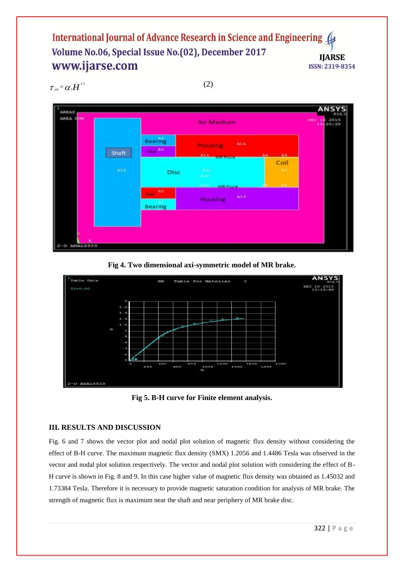International Journal of Advance Research in Science and Engineering Volume No.06, Special Issue No.(02), December 2017 **IIARSE** www.ijarse.com ISSN: 2319-8354

**222**<br> **322** P a given by the state of the state of the state of the state of the state of the state of the state of the state of the state of the state of the state of the state of the state of the state of the state of **ABFA ABFA** 

 $\tau_{\scriptscriptstyle{yd}}$  =  $\alpha_{\scriptscriptstyle{1}}$ *H*<sup>1</sup>

(2)

**Fig 4. Two dimensional axi-symmetric model of MR brake.**



**Fig 5. B-H curve for Finite element analysis.**

## **III. RESULTS AND DISCUSSION**

Fig. 6 and 7 shows the vector plot and nodal plot solution of magnetic flux density without considering the effect of B-H curve. The maximum magnetic flux density (SMX) 1.2056 and 1.4486 Tesla was observed in the vector and nodal plot solution respectively. The vector and nodal plot solution with considering the effect of B-H curve is shown in Fig. 8 and 9. In this case higher value of magnetic flux density was obtained as 1.45032 and 1.73384 Tesla. Therefore it is necessary to provide magnetic saturation condition for analysis of MR brake. The strength of magnetic flux is maximum near the shaft and near periphery of MR brake disc.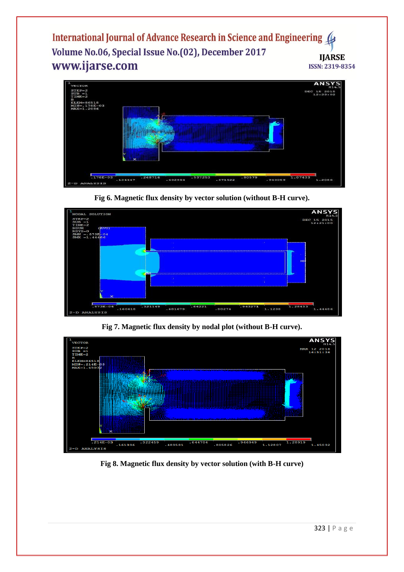International Journal of Advance Research in Science and Engineering 4 Volume No.06, Special Issue No.(02), December 2017 **IJARSE** www.ijarse.com ISSN: 2319-8354



**Fig 6. Magnetic flux density by vector solution (without B-H curve).**



**Fig 7. Magnetic flux density by nodal plot (without B-H curve).**



**Fig 8. Magnetic flux density by vector solution (with B-H curve)**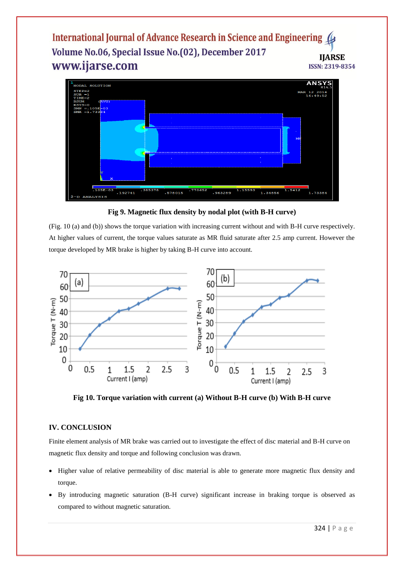International Journal of Advance Research in Science and Engineering 4 Volume No.06, Special Issue No.(02), December 2017 **IIARSE** www.ijarse.com ISSN: 2319-8354



**Fig 9. Magnetic flux density by nodal plot (with B-H curve)** 

(Fig. 10 (a) and (b)) shows the torque variation with increasing current without and with B-H curve respectively. At higher values of current, the torque values saturate as MR fluid saturate after 2.5 amp current. However the torque developed by MR brake is higher by taking B-H curve into account.



**Fig 10. Torque variation with current (a) Without B-H curve (b) With B-H curve**

## **IV. CONCLUSION**

Finite element analysis of MR brake was carried out to investigate the effect of disc material and B-H curve on magnetic flux density and torque and following conclusion was drawn.

- Higher value of relative permeability of disc material is able to generate more magnetic flux density and torque.
- By introducing magnetic saturation (B-H curve) significant increase in braking torque is observed as compared to without magnetic saturation.